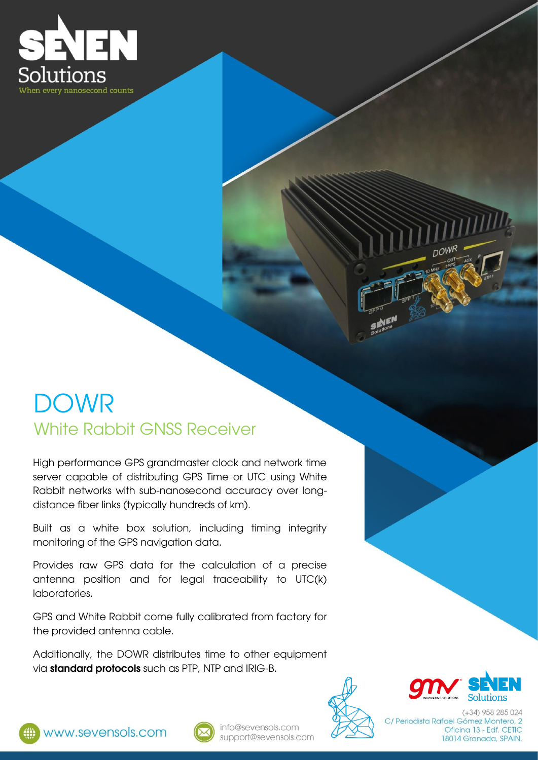

## DOWR White Rabbit GNSS Receiver

High performance GPS grandmaster clock and network time server capable of distributing GPS Time or UTC using White Rabbit networks with sub-nanosecond accuracy over longdistance fiber links (typically hundreds of km).

Built as a white box solution, including timing integrity monitoring of the GPS navigation data.

Provides raw GPS data for the calculation of a precise antenna position and for legal traceability to UTC(k) laboratories.

GPS and White Rabbit come fully calibrated from factory for the provided antenna cable.

Additionally, the DOWR distributes time to other equipment via **standard protocols** such as PTP, NTP and IRIG-B.





 $(+34)$  958 285 024 C/ Periodista Rafael Gómez Montero, 2 Oficina 13 - Edf. CETIC 18014 Granada, SPAIN.

now<sub>R</sub>